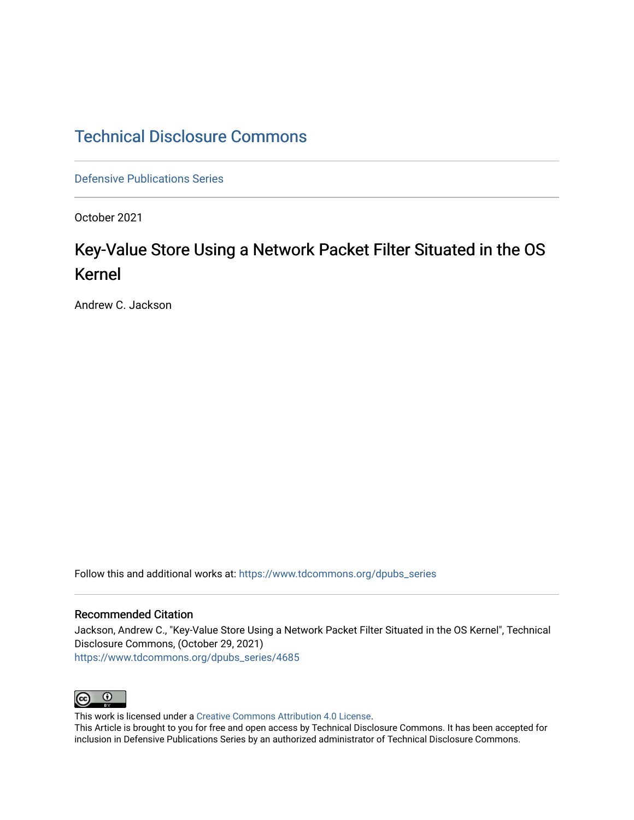# [Technical Disclosure Commons](https://www.tdcommons.org/)

[Defensive Publications Series](https://www.tdcommons.org/dpubs_series)

October 2021

# Key-Value Store Using a Network Packet Filter Situated in the OS Kernel

Andrew C. Jackson

Follow this and additional works at: [https://www.tdcommons.org/dpubs\\_series](https://www.tdcommons.org/dpubs_series?utm_source=www.tdcommons.org%2Fdpubs_series%2F4685&utm_medium=PDF&utm_campaign=PDFCoverPages) 

### Recommended Citation

Jackson, Andrew C., "Key-Value Store Using a Network Packet Filter Situated in the OS Kernel", Technical Disclosure Commons, (October 29, 2021) [https://www.tdcommons.org/dpubs\\_series/4685](https://www.tdcommons.org/dpubs_series/4685?utm_source=www.tdcommons.org%2Fdpubs_series%2F4685&utm_medium=PDF&utm_campaign=PDFCoverPages)



This work is licensed under a [Creative Commons Attribution 4.0 License](http://creativecommons.org/licenses/by/4.0/deed.en_US).

This Article is brought to you for free and open access by Technical Disclosure Commons. It has been accepted for inclusion in Defensive Publications Series by an authorized administrator of Technical Disclosure Commons.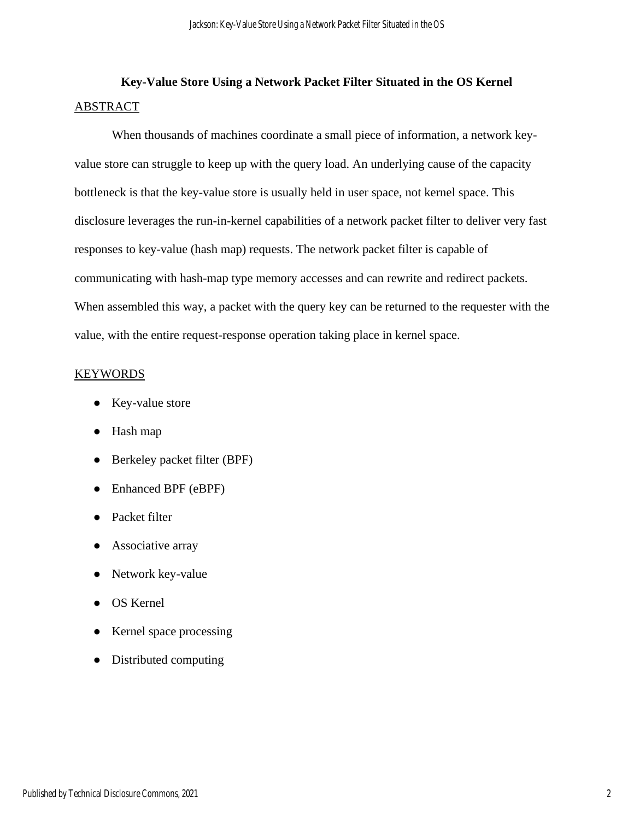# **Key-Value Store Using a Network Packet Filter Situated in the OS Kernel**  ABSTRACT

When thousands of machines coordinate a small piece of information, a network keyvalue store can struggle to keep up with the query load. An underlying cause of the capacity bottleneck is that the key-value store is usually held in user space, not kernel space. This disclosure leverages the run-in-kernel capabilities of a network packet filter to deliver very fast responses to key-value (hash map) requests. The network packet filter is capable of communicating with hash-map type memory accesses and can rewrite and redirect packets. When assembled this way, a packet with the query key can be returned to the requester with the value, with the entire request-response operation taking place in kernel space.

# KEYWORDS

- Key-value store
- Hash map
- Berkeley packet filter (BPF)
- Enhanced BPF (eBPF)
- Packet filter
- Associative array
- Network key-value
- OS Kernel
- Kernel space processing
- Distributed computing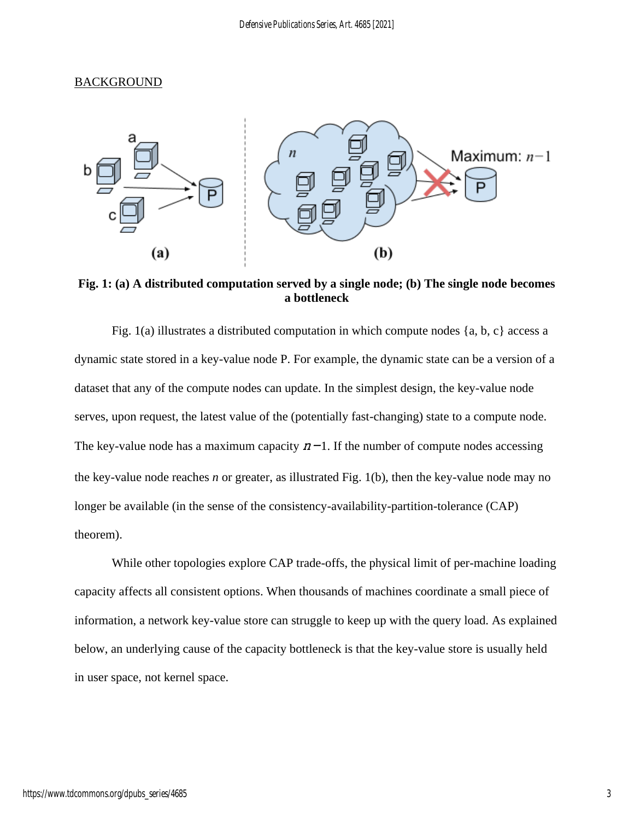## **BACKGROUND**



**Fig. 1: (a) A distributed computation served by a single node; (b) The single node becomes a bottleneck**

Fig. 1(a) illustrates a distributed computation in which compute nodes  $\{a, b, c\}$  access a dynamic state stored in a key-value node P. For example, the dynamic state can be a version of a dataset that any of the compute nodes can update. In the simplest design, the key-value node serves, upon request, the latest value of the (potentially fast-changing) state to a compute node. The key-value node has a maximum capacity  $n-1$ . If the number of compute nodes accessing the key-value node reaches *n* or greater, as illustrated Fig. 1(b), then the key-value node may no longer be available (in the sense of the consistency-availability-partition-tolerance (CAP) theorem).

While other topologies explore CAP trade-offs, the physical limit of per-machine loading capacity affects all consistent options. When thousands of machines coordinate a small piece of information, a network key-value store can struggle to keep up with the query load. As explained below, an underlying cause of the capacity bottleneck is that the key-value store is usually held in user space, not kernel space.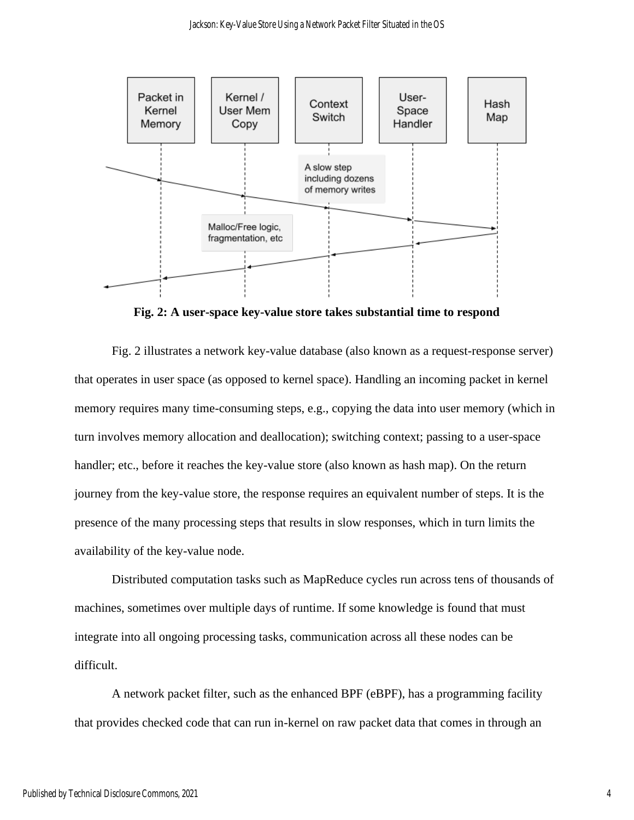

**Fig. 2: A user-space key-value store takes substantial time to respond**

Fig. 2 illustrates a network key-value database (also known as a request-response server) that operates in user space (as opposed to kernel space). Handling an incoming packet in kernel memory requires many time-consuming steps, e.g., copying the data into user memory (which in turn involves memory allocation and deallocation); switching context; passing to a user-space handler; etc., before it reaches the key-value store (also known as hash map). On the return journey from the key-value store, the response requires an equivalent number of steps. It is the presence of the many processing steps that results in slow responses, which in turn limits the availability of the key-value node.

Distributed computation tasks such as MapReduce cycles run across tens of thousands of machines, sometimes over multiple days of runtime. If some knowledge is found that must integrate into all ongoing processing tasks, communication across all these nodes can be difficult.

A network packet filter, such as the enhanced BPF (eBPF), has a programming facility that provides checked code that can run in-kernel on raw packet data that comes in through an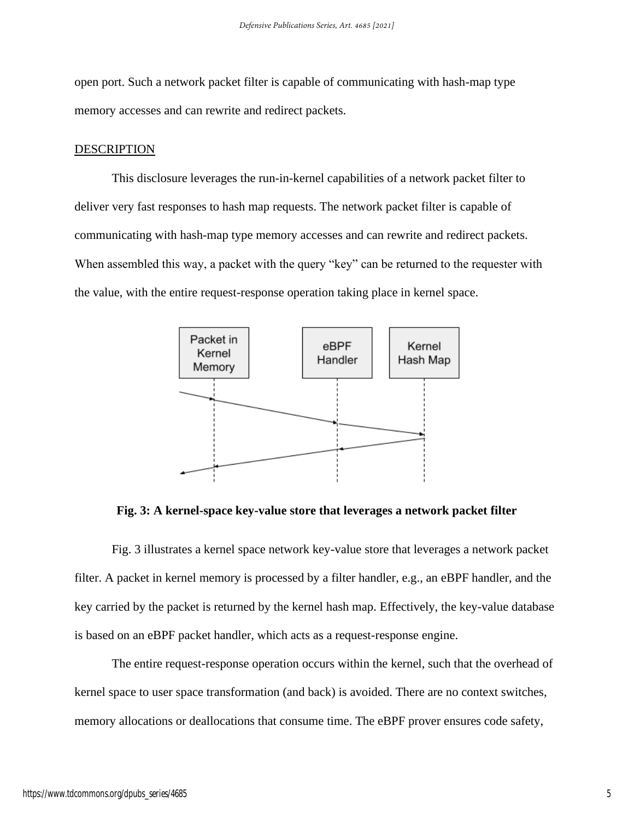open port. Such a network packet filter is capable of communicating with hash-map type memory accesses and can rewrite and redirect packets.

## DESCRIPTION

This disclosure leverages the run-in-kernel capabilities of a network packet filter to deliver very fast responses to hash map requests. The network packet filter is capable of communicating with hash-map type memory accesses and can rewrite and redirect packets. When assembled this way, a packet with the query "key" can be returned to the requester with the value, with the entire request-response operation taking place in kernel space.



**Fig. 3: A kernel-space key-value store that leverages a network packet filter**

Fig. 3 illustrates a kernel space network key-value store that leverages a network packet filter. A packet in kernel memory is processed by a filter handler, e.g., an eBPF handler, and the key carried by the packet is returned by the kernel hash map. Effectively, the key-value database is based on an eBPF packet handler, which acts as a request-response engine.

The entire request-response operation occurs within the kernel, such that the overhead of kernel space to user space transformation (and back) is avoided. There are no context switches, memory allocations or deallocations that consume time. The eBPF prover ensures code safety,